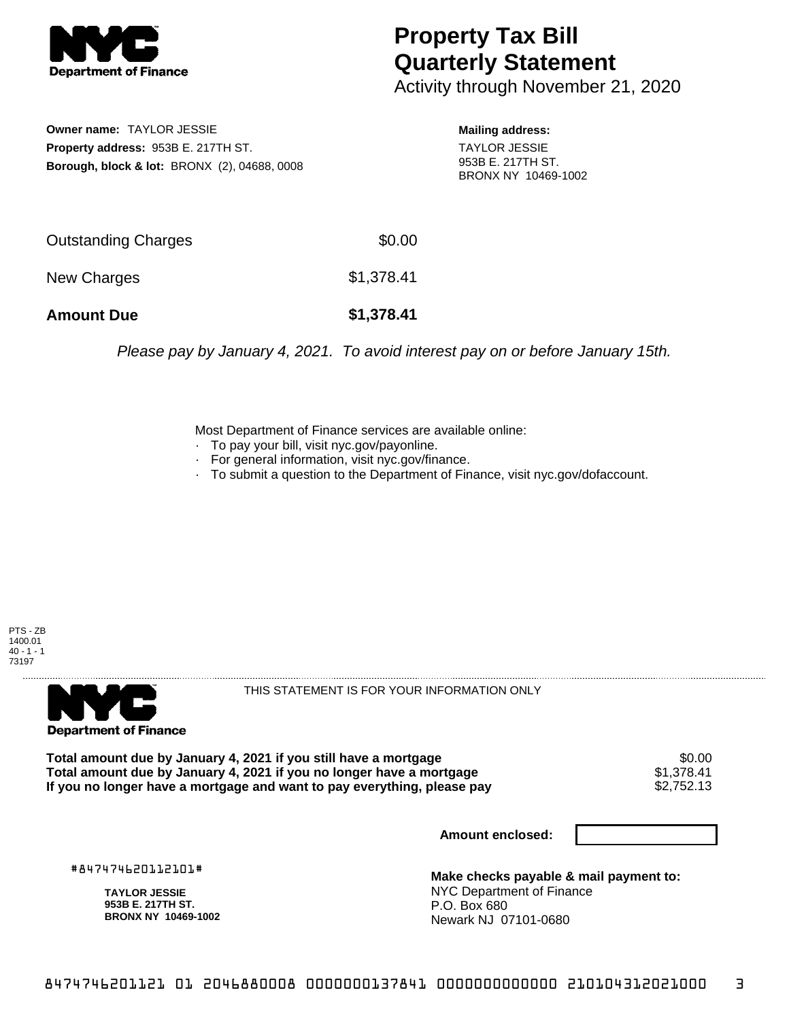

## **Property Tax Bill Quarterly Statement**

Activity through November 21, 2020

**Owner name:** TAYLOR JESSIE **Property address:** 953B E. 217TH ST. **Borough, block & lot:** BRONX (2), 04688, 0008 **Mailing address:**

TAYLOR JESSIE 953B E. 217TH ST. BRONX NY 10469-1002

| <b>Amount Due</b>          | \$1,378.41 |
|----------------------------|------------|
| New Charges                | \$1,378.41 |
| <b>Outstanding Charges</b> | \$0.00     |

Please pay by January 4, 2021. To avoid interest pay on or before January 15th.

Most Department of Finance services are available online:

- · To pay your bill, visit nyc.gov/payonline.
- For general information, visit nyc.gov/finance.
- · To submit a question to the Department of Finance, visit nyc.gov/dofaccount.





THIS STATEMENT IS FOR YOUR INFORMATION ONLY

Total amount due by January 4, 2021 if you still have a mortgage \$0.00<br>Total amount due by January 4, 2021 if you no longer have a mortgage \$1.378.41 **Total amount due by January 4, 2021 if you no longer have a mortgage**  $$1,378.41$ **<br>If you no longer have a mortgage and want to pay everything, please pay**  $$2,752.13$ If you no longer have a mortgage and want to pay everything, please pay

**Amount enclosed:**

#847474620112101#

**TAYLOR JESSIE 953B E. 217TH ST. BRONX NY 10469-1002**

**Make checks payable & mail payment to:** NYC Department of Finance P.O. Box 680 Newark NJ 07101-0680